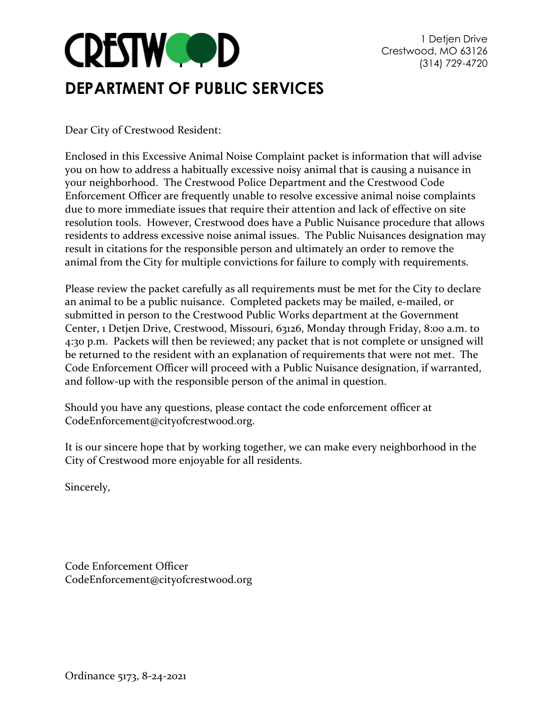

Dear City of Crestwood Resident:

Enclosed in this Excessive Animal Noise Complaint packet is information that will advise you on how to address a habitually excessive noisy animal that is causing a nuisance in your neighborhood. The Crestwood Police Department and the Crestwood Code Enforcement Officer are frequently unable to resolve excessive animal noise complaints due to more immediate issues that require their attention and lack of effective on site resolution tools. However, Crestwood does have a Public Nuisance procedure that allows residents to address excessive noise animal issues. The Public Nuisances designation may result in citations for the responsible person and ultimately an order to remove the animal from the City for multiple convictions for failure to comply with requirements.

Please review the packet carefully as all requirements must be met for the City to declare an animal to be a public nuisance. Completed packets may be mailed, e-mailed, or submitted in person to the Crestwood Public Works department at the Government Center, 1 Detjen Drive, Crestwood, Missouri, 63126, Monday through Friday, 8:00 a.m. to 4:30 p.m. Packets will then be reviewed; any packet that is not complete or unsigned will be returned to the resident with an explanation of requirements that were not met. The Code Enforcement Officer will proceed with a Public Nuisance designation, if warranted, and follow-up with the responsible person of the animal in question.

Should you have any questions, please contact the code enforcement officer at CodeEnforcement@cityofcrestwood.org.

It is our sincere hope that by working together, we can make every neighborhood in the City of Crestwood more enjoyable for all residents.

Sincerely,

Code Enforcement Officer CodeEnforcement@cityofcrestwood.org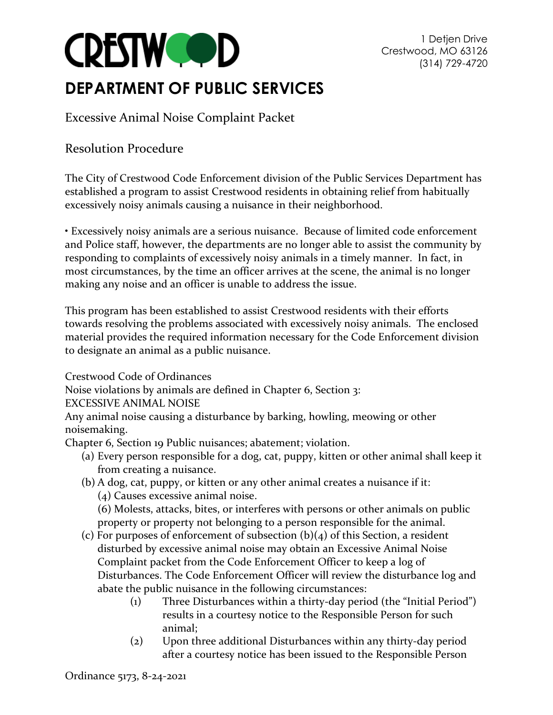

## **DEPARTMENT OF PUBLIC SERVICES**

Excessive Animal Noise Complaint Packet

#### Resolution Procedure

The City of Crestwood Code Enforcement division of the Public Services Department has established a program to assist Crestwood residents in obtaining relief from habitually excessively noisy animals causing a nuisance in their neighborhood.

• Excessively noisy animals are a serious nuisance. Because of limited code enforcement and Police staff, however, the departments are no longer able to assist the community by responding to complaints of excessively noisy animals in a timely manner. In fact, in most circumstances, by the time an officer arrives at the scene, the animal is no longer making any noise and an officer is unable to address the issue.

This program has been established to assist Crestwood residents with their efforts towards resolving the problems associated with excessively noisy animals. The enclosed material provides the required information necessary for the Code Enforcement division to designate an animal as a public nuisance.

Crestwood Code of Ordinances

Noise violations by animals are defined in Chapter 6, Section 3:

EXCESSIVE ANIMAL NOISE

Any animal noise causing a disturbance by barking, howling, meowing or other noisemaking.

Chapter 6, Section 19 Public nuisances; abatement; violation.

- (a) Every person responsible for a dog, cat, puppy, kitten or other animal shall keep it from creating a nuisance.
- (b) A dog, cat, puppy, or kitten or any other animal creates a nuisance if it:
	- (4) Causes excessive animal noise.

(6) Molests, attacks, bites, or interferes with persons or other animals on public property or property not belonging to a person responsible for the animal.

- (c) For purposes of enforcement of subsection  $(b)(4)$  of this Section, a resident [disturbed by excessive animal noise may obtain an Excessive Animal Noise](https://www.ecode360.com/33589860#33589860)  [Complaint packet from the Code Enforcement Officer to keep a log of](https://www.ecode360.com/33589860#33589860)  [Disturbances. The Code Enforcement Officer will review the disturbance log and](https://www.ecode360.com/33589860#33589860)  [abate the public nuisance in the following circumstances:](https://www.ecode360.com/33589860#33589860)
	- [\(1\) Three Disturbances within a thirty-](https://www.ecode360.com/33589860#33589860)day period (the "Initial Period") [results in a courtesy notice to the Responsible Person for such](https://www.ecode360.com/33589860#33589860)  [animal;](https://www.ecode360.com/33589860#33589860)
	- [\(2\) Upon three additional Disturbances within any thirty-day period](https://www.ecode360.com/33589860#33589860)  [after a courtesy notice has been issued to the Responsible Person](https://www.ecode360.com/33589860#33589860)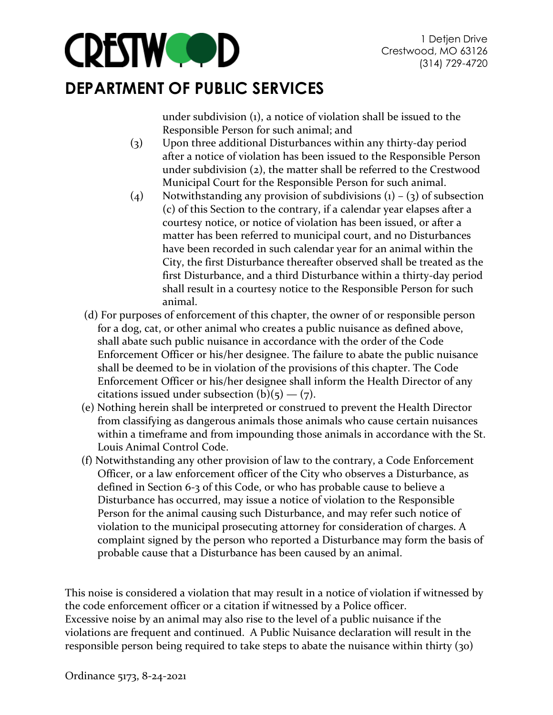

## **DEPARTMENT OF PUBLIC SERVICES**

[under subdivision \(1\), a notice of violation shall be issued to the](https://www.ecode360.com/33589860#33589860)  [Responsible Person for such animal; and](https://www.ecode360.com/33589860#33589860) 

- [\(3\) Upon three additional Disturbances within any thirty-day period](https://www.ecode360.com/33589860#33589860)  [after a notice of violation has been issued to the Responsible Person](https://www.ecode360.com/33589860#33589860)  [under subdivision \(2\), the matter shall be referred to the Crestwood](https://www.ecode360.com/33589860#33589860)  [Municipal Court for the Responsible Person for such animal.](https://www.ecode360.com/33589860#33589860)
- (4) Notwithstanding any provision of subdivisions  $(1) (3)$  of subsection [\(c\) of this Section to the contrary, if a calendar year elapses after a](https://www.ecode360.com/33589860#33589860)  [courtesy notice, or notice of violation has been issued, or after a](https://www.ecode360.com/33589860#33589860)  [matter has been referred to municipal court, and no Disturbances](https://www.ecode360.com/33589860#33589860)  [have been recorded in such calendar year for an animal within the](https://www.ecode360.com/33589860#33589860)  [City, the first Disturbance thereafter observed shall be treated as the](https://www.ecode360.com/33589860#33589860)  [first Disturbance, and a third Disturbance within a thirty-day period](https://www.ecode360.com/33589860#33589860)  [shall result in a courtesy notice to the Responsible Person for](https://www.ecode360.com/33589860#33589860) such [animal.](https://www.ecode360.com/33589860#33589860)
- [\(d\)](https://www.ecode360.com/33589860#33589860) For purposes of enforcement of this chapter, the owner of or responsible person for a dog, cat, or other animal who creates a public nuisance as defined above, shall abate such public nuisance in accordance with the order of the Code Enforcement Officer or his/her designee. The failure to abate the public nuisance shall be deemed to be in violation of the provisions of this chapter. The Code Enforcement Officer or his/her designee shall inform the Health Director of any citations issued under subsection  $(b)(5) - (7)$ .
- [\(e\)](https://www.ecode360.com/33589861#33589861) Nothing herein shall be interpreted or construed to prevent the Health Director from classifying as dangerous animals those animals who cause certain nuisances within a timeframe and from impounding those animals in accordance with the St. Louis Animal Control Code.
- (f) Notwithstanding any other provision of law to the contrary, a Code Enforcement Officer, or a law enforcement officer of the City who observes a Disturbance, as defined in Section 6-3 of this Code, or who has probable cause to believe a Disturbance has occurred, may issue a notice of violation to the Responsible Person for the animal causing such Disturbance, and may refer such notice of violation to the municipal prosecuting attorney for consideration of charges. A complaint signed by the person who reported a Disturbance may form the basis of probable cause that a Disturbance has been caused by an animal.

This noise is considered a violation that may result in a notice of violation if witnessed by the code enforcement officer or a citation if witnessed by a Police officer. Excessive noise by an animal may also rise to the level of a public nuisance if the violations are frequent and continued. A Public Nuisance declaration will result in the responsible person being required to take steps to abate the nuisance within thirty (30)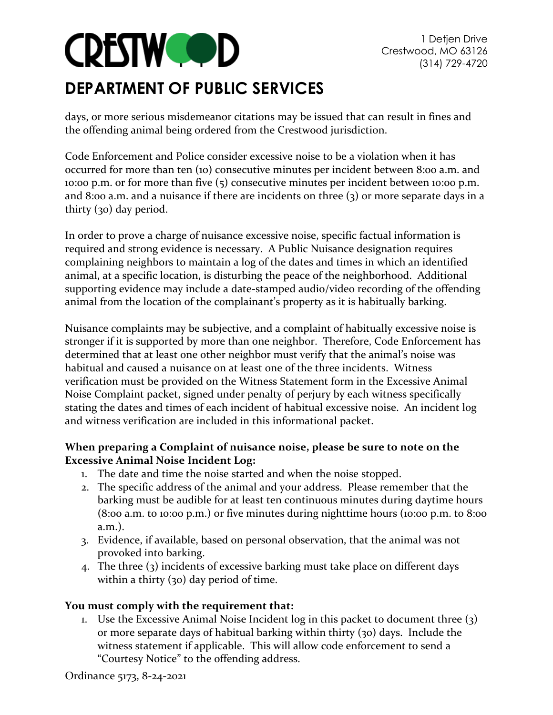

## **DEPARTMENT OF PUBLIC SERVICES**

days, or more serious misdemeanor citations may be issued that can result in fines and the offending animal being ordered from the Crestwood jurisdiction.

Code Enforcement and Police consider excessive noise to be a violation when it has occurred for more than ten (10) consecutive minutes per incident between 8:00 a.m. and 10:00 p.m. or for more than five (5) consecutive minutes per incident between 10:00 p.m. and 8:00 a.m. and a nuisance if there are incidents on three (3) or more separate days in a thirty (30) day period.

In order to prove a charge of nuisance excessive noise, specific factual information is required and strong evidence is necessary. A Public Nuisance designation requires complaining neighbors to maintain a log of the dates and times in which an identified animal, at a specific location, is disturbing the peace of the neighborhood. Additional supporting evidence may include a date-stamped audio/video recording of the offending animal from the location of the complainant's property as it is habitually barking.

Nuisance complaints may be subjective, and a complaint of habitually excessive noise is stronger if it is supported by more than one neighbor. Therefore, Code Enforcement has determined that at least one other neighbor must verify that the animal's noise was habitual and caused a nuisance on at least one of the three incidents. Witness verification must be provided on the Witness Statement form in the Excessive Animal Noise Complaint packet, signed under penalty of perjury by each witness specifically stating the dates and times of each incident of habitual excessive noise. An incident log and witness verification are included in this informational packet.

#### **When preparing a Complaint of nuisance noise, please be sure to note on the Excessive Animal Noise Incident Log:**

- 1. The date and time the noise started and when the noise stopped.
- 2. The specific address of the animal and your address. Please remember that the barking must be audible for at least ten continuous minutes during daytime hours (8:00 a.m. to 10:00 p.m.) or five minutes during nighttime hours (10:00 p.m. to 8:00 a.m.).
- 3. Evidence, if available, based on personal observation, that the animal was not provoked into barking.
- 4. The three (3) incidents of excessive barking must take place on different days within a thirty (30) day period of time.

#### **You must comply with the requirement that:**

1. Use the Excessive Animal Noise Incident log in this packet to document three (3) or more separate days of habitual barking within thirty (30) days. Include the witness statement if applicable. This will allow code enforcement to send a "Courtesy Notice" to the offending address.

Ordinance 5173, 8-24-2021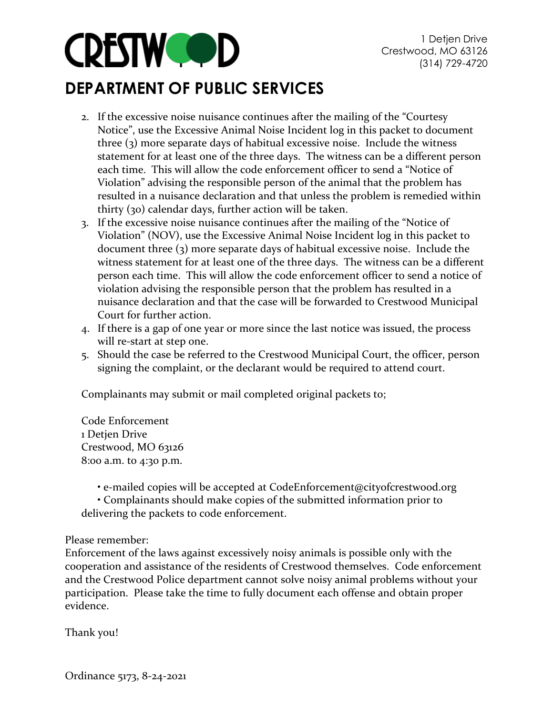

## **DEPARTMENT OF PUBLIC SERVICES**

- 2. If the excessive noise nuisance continues after the mailing of the "Courtesy Notice", use the Excessive Animal Noise Incident log in this packet to document three (3) more separate days of habitual excessive noise. Include the witness statement for at least one of the three days. The witness can be a different person each time. This will allow the code enforcement officer to send a "Notice of Violation" advising the responsible person of the animal that the problem has resulted in a nuisance declaration and that unless the problem is remedied within thirty (30) calendar days, further action will be taken.
- 3. If the excessive noise nuisance continues after the mailing of the "Notice of Violation" (NOV), use the Excessive Animal Noise Incident log in this packet to document three (3) more separate days of habitual excessive noise. Include the witness statement for at least one of the three days. The witness can be a different person each time. This will allow the code enforcement officer to send a notice of violation advising the responsible person that the problem has resulted in a nuisance declaration and that the case will be forwarded to Crestwood Municipal Court for further action.
- 4. If there is a gap of one year or more since the last notice was issued, the process will re-start at step one.
- 5. Should the case be referred to the Crestwood Municipal Court, the officer, person signing the complaint, or the declarant would be required to attend court.

Complainants may submit or mail completed original packets to;

Code Enforcement 1 Detjen Drive Crestwood, MO 63126 8:00 a.m. to 4:30 p.m.

**•** e-mailed copies will be accepted at CodeEnforcement@cityofcrestwood.org

• Complainants should make copies of the submitted information prior to delivering the packets to code enforcement.

#### Please remember:

Enforcement of the laws against excessively noisy animals is possible only with the cooperation and assistance of the residents of Crestwood themselves. Code enforcement and the Crestwood Police department cannot solve noisy animal problems without your participation. Please take the time to fully document each offense and obtain proper evidence.

Thank you!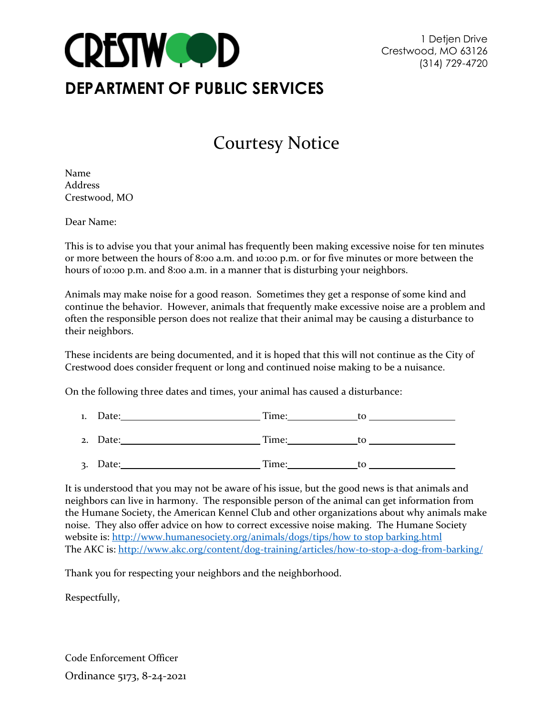

# Courtesy Notice

Name Address Crestwood, MO

Dear Name:

This is to advise you that your animal has frequently been making excessive noise for ten minutes or more between the hours of 8:00 a.m. and 10:00 p.m. or for five minutes or more between the hours of 10:00 p.m. and 8:00 a.m. in a manner that is disturbing your neighbors.

Animals may make noise for a good reason. Sometimes they get a response of some kind and continue the behavior. However, animals that frequently make excessive noise are a problem and often the responsible person does not realize that their animal may be causing a disturbance to their neighbors.

These incidents are being documented, and it is hoped that this will not continue as the City of Crestwood does consider frequent or long and continued noise making to be a nuisance.

On the following three dates and times, your animal has caused a disturbance:

- 1. Date: Time: to
- 2. Date: Time: to
- 3. Date: Time: to

It is understood that you may not be aware of his issue, but the good news is that animals and neighbors can live in harmony. The responsible person of the animal can get information from the Humane Society, the American Kennel Club and other organizations about why animals make noise. They also offer advice on how to correct excessive noise making. The Humane Society website is: [http://www.humanesociety.org/animals/dogs/tips/how to stop barking.html](http://www.humanesociety.org/animals/dogs/tips/how%20to%20stop%20barking.html) The AKC is:<http://www.akc.org/content/dog-training/articles/how-to-stop-a-dog-from-barking/>

Thank you for respecting your neighbors and the neighborhood.

Respectfully,

Ordinance 5173, 8-24-2021 Code Enforcement Officer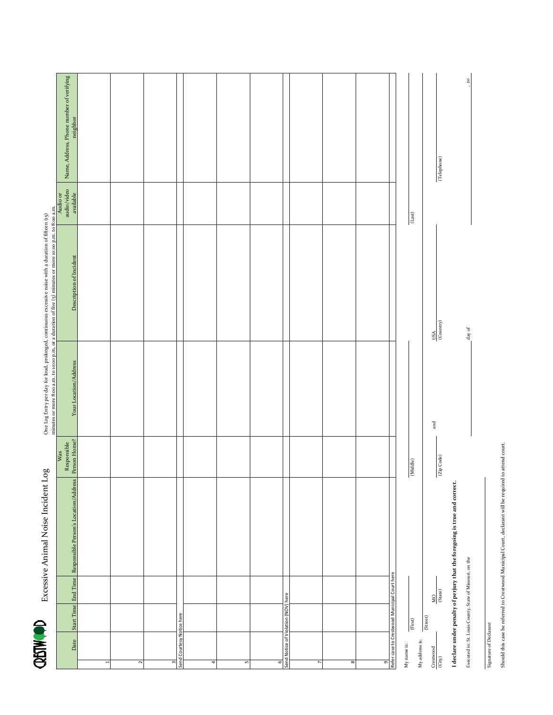**CRETWOOD** Excessive Animal Noise Incident Log

n m to 8:00 a m One Log Entry per day for loud, prolonged, continuous excessive noise with a duration of fifteen (15) minutes or more 8000 a.m. to noon n m or a duration of fine (15) minutes or more 8000 a.m. Excessive Animal Noise Incident Log  $\,$  One Log Entry per day for loud, prolonged, continuous excessive noise with a duration of fifteen (15)

| Date                                       |                                     | Start Time End Time                                      | Responsible Person's Location/Address                                      | Responsible<br>Person Home?<br>Was |                   | minutes or more 8:00 a.m. to 10:00 p.m. or a duration of five (5) minutes or more 10:00 p.m. to 8:00 a.m.<br>Initiative or the state of the state of the state of the state of the state of the state of the state of the state o |                              | Name, Address, Phone number of verifying<br>neighbor |  |
|--------------------------------------------|-------------------------------------|----------------------------------------------------------|----------------------------------------------------------------------------|------------------------------------|-------------------|-----------------------------------------------------------------------------------------------------------------------------------------------------------------------------------------------------------------------------------|------------------------------|------------------------------------------------------|--|
| $\overline{ }$                             |                                     |                                                          |                                                                            |                                    |                   |                                                                                                                                                                                                                                   |                              |                                                      |  |
| 2                                          |                                     |                                                          |                                                                            |                                    |                   |                                                                                                                                                                                                                                   |                              |                                                      |  |
| m                                          |                                     |                                                          |                                                                            |                                    |                   |                                                                                                                                                                                                                                   |                              |                                                      |  |
|                                            | Send Courtesy Notice here           |                                                          |                                                                            |                                    |                   |                                                                                                                                                                                                                                   |                              |                                                      |  |
| 4                                          |                                     |                                                          |                                                                            |                                    |                   |                                                                                                                                                                                                                                   |                              |                                                      |  |
| 5                                          |                                     |                                                          |                                                                            |                                    |                   |                                                                                                                                                                                                                                   |                              |                                                      |  |
| 6                                          |                                     |                                                          |                                                                            |                                    |                   |                                                                                                                                                                                                                                   |                              |                                                      |  |
|                                            | Send Notice of Violation (NOV) here |                                                          |                                                                            |                                    |                   |                                                                                                                                                                                                                                   |                              |                                                      |  |
| $\overline{\phantom{a}}$                   |                                     |                                                          |                                                                            |                                    |                   |                                                                                                                                                                                                                                   |                              |                                                      |  |
| 8                                          |                                     |                                                          |                                                                            |                                    |                   |                                                                                                                                                                                                                                   |                              |                                                      |  |
| თ                                          |                                     |                                                          |                                                                            |                                    |                   |                                                                                                                                                                                                                                   |                              |                                                      |  |
|                                            |                                     | Refer case to Crestwood Municipal Court here             |                                                                            |                                    |                   |                                                                                                                                                                                                                                   |                              |                                                      |  |
| My address is:<br>My name is:              | $(\mathrm{First})$                  |                                                          |                                                                            | (Middle)                           |                   |                                                                                                                                                                                                                                   | $\left( \text{Last} \right)$ |                                                      |  |
| Crestwood<br>$\left( \mathrm{City}\right)$ | (Street)                            | $\frac{MO}{(State)}$                                     |                                                                            | (Zip Code)                         | $_{\mathrm{and}}$ | $\frac{USA}{(Country)}$                                                                                                                                                                                                           |                              | (Telephone)                                          |  |
|                                            |                                     |                                                          | I declare under penalty of perjury that the foregoing is true and correct. |                                    |                   |                                                                                                                                                                                                                                   |                              |                                                      |  |
|                                            |                                     | Executed in: St. Louis County, State of Missouri, on the |                                                                            |                                    |                   | $\tt{day of}$                                                                                                                                                                                                                     |                              | $\frac{20}{2}$                                       |  |

Should this case be referred to Crestwood Municipal Court, declarant will be required to attend court. Should this case be referred to Crestwood Municipal Court, declarant will be required to attend court.

Signature of Declarant

Signature of Declarant